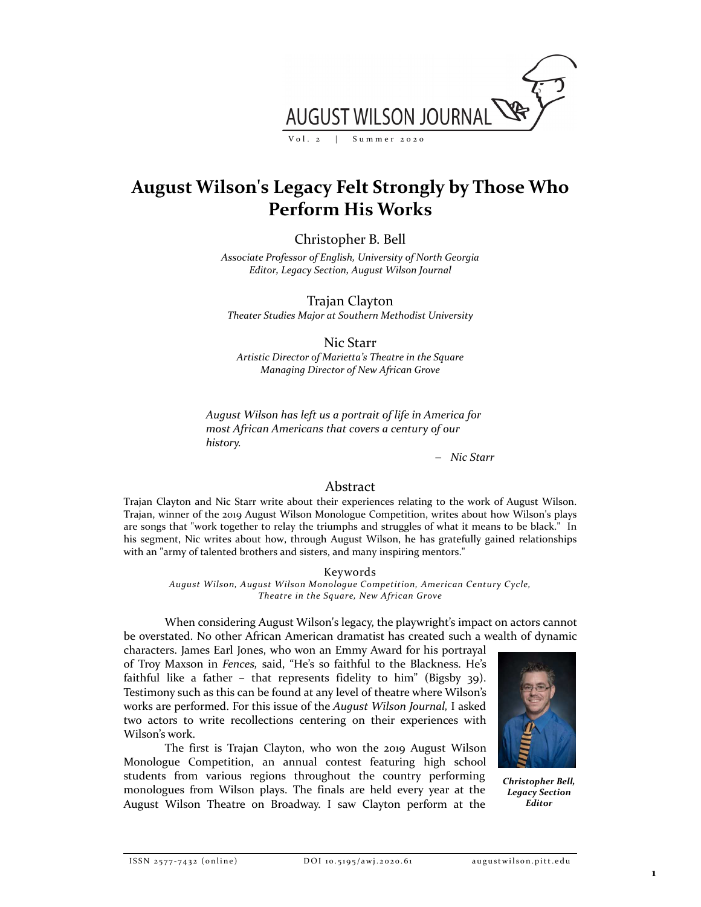

# **August Wilson's Legacy Felt Strongly by Those Who Perform His Works**

Christopher B. Bell

*Associate Professor of English, University of North Georgia Editor, Legacy Section, August Wilson Journal*

Trajan Clayton

*Theater Studies Major at Southern Methodist University*

Nic Starr

*Artistic Director of Marietta's Theatre in the Square Managing Director of New African Grove*

*August Wilson has left us a portrait of life in America for most African Americans that covers a century of our history.*

*Nic Starr*

# Abstract

Trajan Clayton and Nic Starr write about their experiences relating to the work of August Wilson. Trajan, winner of the 2019 August Wilson Monologue Competition, writes about how Wilson's plays are songs that "work together to relay the triumphs and struggles of what it means to be black." In his segment, Nic writes about how, through August Wilson, he has gratefully gained relationships with an "army of talented brothers and sisters, and many inspiring mentors."

Keywords

*August Wilson, August Wilson Monologue Competition, American Century Cycle, Theatre in the Square, New African Grove*

When considering August Wilson's legacy, the playwright's impact on actors cannot be overstated. No other African American dramatist has created such a wealth of dynamic

characters. James Earl Jones, who won an Emmy Award for his portrayal of Troy Maxson in *Fences,* said, "He's so faithful to the Blackness. He's faithful like a father – that represents fidelity to him" (Bigsby 39). Testimony such as this can be found at any level of theatre where Wilson's works are performed. For this issue of the *August Wilson Journal,* I asked two actors to write recollections centering on their experiences with Wilson's work.

The first is Trajan Clayton, who won the 2019 August Wilson Monologue Competition, an annual contest featuring high school students from various regions throughout the country performing monologues from Wilson plays. The finals are held every year at the August Wilson Theatre on Broadway. I saw Clayton perform at the



*Christopher Bell, Legacy Section Editor*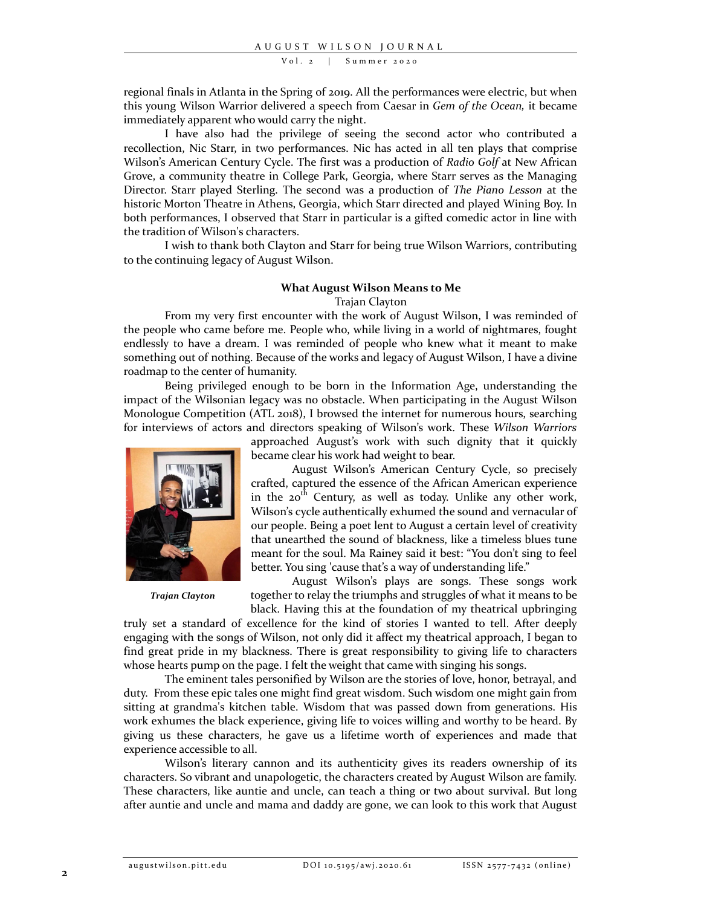Vol. 2 | Summer 2020

regional finals in Atlanta in the Spring of 2019. All the performances were electric, but when this young Wilson Warrior delivered a speech from Caesar in *Gem of the Ocean,* it became immediately apparent who would carry the night.

I have also had the privilege of seeing the second actor who contributed a recollection, Nic Starr, in two performances. Nic has acted in all ten plays that comprise Wilson's American Century Cycle. The first was a production of *Radio Golf* at New African Grove, a community theatre in College Park, Georgia, where Starr serves as the Managing Director. Starr played Sterling. The second was a production of *The Piano Lesson* at the historic Morton Theatre in Athens, Georgia, which Starr directed and played Wining Boy. In both performances, I observed that Starr in particular is a gifted comedic actor in line with the tradition of Wilson's characters.

I wish to thank both Clayton and Starr for being true Wilson Warriors, contributing to the continuing legacy of August Wilson.

#### **What August Wilson Means to Me**

#### Trajan Clayton

From my very first encounter with the work of August Wilson, I was reminded of the people who came before me. People who, while living in a world of nightmares, fought endlessly to have a dream. I was reminded of people who knew what it meant to make something out of nothing. Because of the works and legacy of August Wilson, I have a divine roadmap to the center of humanity.

Being privileged enough to be born in the Information Age, understanding the impact of the Wilsonian legacy was no obstacle. When participating in the August Wilson Monologue Competition (ATL 2018), I browsed the internet for numerous hours, searching for interviews of actors and directors speaking of Wilson's work. These *Wilson Warriors*



*Trajan Clayton*

approached August's work with such dignity that it quickly became clear his work had weight to bear.

August Wilson's American Century Cycle, so precisely crafted, captured the essence of the African American experience in the 20<sup>th</sup> Century, as well as today. Unlike any other work, Wilson's cycle authentically exhumed the sound and vernacular of our people. Being a poet lent to August a certain level of creativity that unearthed the sound of blackness, like a timeless blues tune meant for the soul. Ma Rainey said it best: "You don't sing to feel better. You sing 'cause that's a way of understanding life."

August Wilson's plays are songs. These songs work together to relay the triumphs and struggles of what it means to be black. Having this at the foundation of my theatrical upbringing

truly set a standard of excellence for the kind of stories I wanted to tell. After deeply engaging with the songs of Wilson, not only did it affect my theatrical approach, I began to find great pride in my blackness. There is great responsibility to giving life to characters whose hearts pump on the page. I felt the weight that came with singing his songs.

The eminent tales personified by Wilson are the stories of love, honor, betrayal, and duty. From these epic tales one might find great wisdom. Such wisdom one might gain from sitting at grandma's kitchen table. Wisdom that was passed down from generations. His work exhumes the black experience, giving life to voices willing and worthy to be heard. By giving us these characters, he gave us a lifetime worth of experiences and made that experience accessible to all.

Wilson's literary cannon and its authenticity gives its readers ownership of its characters. So vibrant and unapologetic, the characters created by August Wilson are family. These characters, like auntie and uncle, can teach a thing or two about survival. But long after auntie and uncle and mama and daddy are gone, we can look to this work that August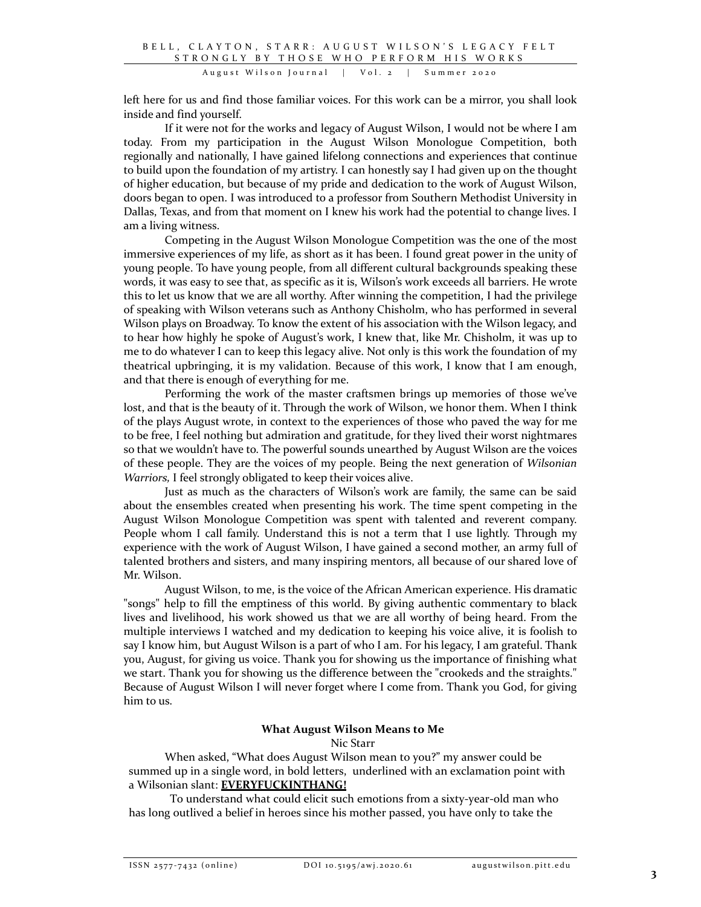left here for us and find those familiar voices. For this work can be a mirror, you shall look inside and find yourself.

If it were not for the works and legacy of August Wilson, I would not be where I am today. From my participation in the August Wilson Monologue Competition, both regionally and nationally, I have gained lifelong connections and experiences that continue to build upon the foundation of my artistry. I can honestly say I had given up on the thought of higher education, but because of my pride and dedication to the work of August Wilson, doors began to open. I was introduced to a professor from Southern Methodist University in Dallas, Texas, and from that moment on I knew his work had the potential to change lives. I am a living witness.

Competing in the August Wilson Monologue Competition was the one of the most immersive experiences of my life, as short as it has been. I found great power in the unity of young people. To have young people, from all different cultural backgrounds speaking these words, it was easy to see that, as specific as it is, Wilson's work exceeds all barriers. He wrote this to let us know that we are all worthy. After winning the competition, I had the privilege of speaking with Wilson veterans such as Anthony Chisholm, who has performed in several Wilson plays on Broadway. To know the extent of his association with the Wilson legacy, and to hear how highly he spoke of August's work, I knew that, like Mr. Chisholm, it was up to me to do whatever I can to keep this legacy alive. Not only is this work the foundation of my theatrical upbringing, it is my validation. Because of this work, I know that I am enough, and that there is enough of everything for me.

Performing the work of the master craftsmen brings up memories of those we've lost, and that is the beauty of it. Through the work of Wilson, we honor them. When I think of the plays August wrote, in context to the experiences of those who paved the way for me to be free, I feel nothing but admiration and gratitude, for they lived their worst nightmares so that we wouldn't have to. The powerful sounds unearthed by August Wilson are the voices of these people. They are the voices of my people. Being the next generation of *Wilsonian Warriors,* I feel strongly obligated to keep their voices alive.

Just as much as the characters of Wilson's work are family, the same can be said about the ensembles created when presenting his work. The time spent competing in the August Wilson Monologue Competition was spent with talented and reverent company. People whom I call family. Understand this is not a term that I use lightly. Through my experience with the work of August Wilson, I have gained a second mother, an army full of talented brothers and sisters, and many inspiring mentors, all because of our shared love of Mr. Wilson.

August Wilson, to me, is the voice of the African American experience. His dramatic "songs" help to fill the emptiness of this world. By giving authentic commentary to black lives and livelihood, his work showed us that we are all worthy of being heard. From the multiple interviews I watched and my dedication to keeping his voice alive, it is foolish to say I know him, but August Wilson is a part of who I am. For his legacy, I am grateful. Thank you, August, for giving us voice. Thank you for showing us the importance of finishing what we start. Thank you for showing us the difference between the "crookeds and the straights." Because of August Wilson I will never forget where I come from. Thank you God, for giving him to us.

## **What August Wilson Means to Me**

## Nic Starr

When asked, "What does August Wilson mean to you?" my answer could be summed up in a single word, in bold letters, underlined with an exclamation point with a Wilsonian slant: **EVERYFUCKINTHANG!**

To understand what could elicit such emotions from a sixty‐year‐old man who has long outlived a belief in heroes since his mother passed, you have only to take the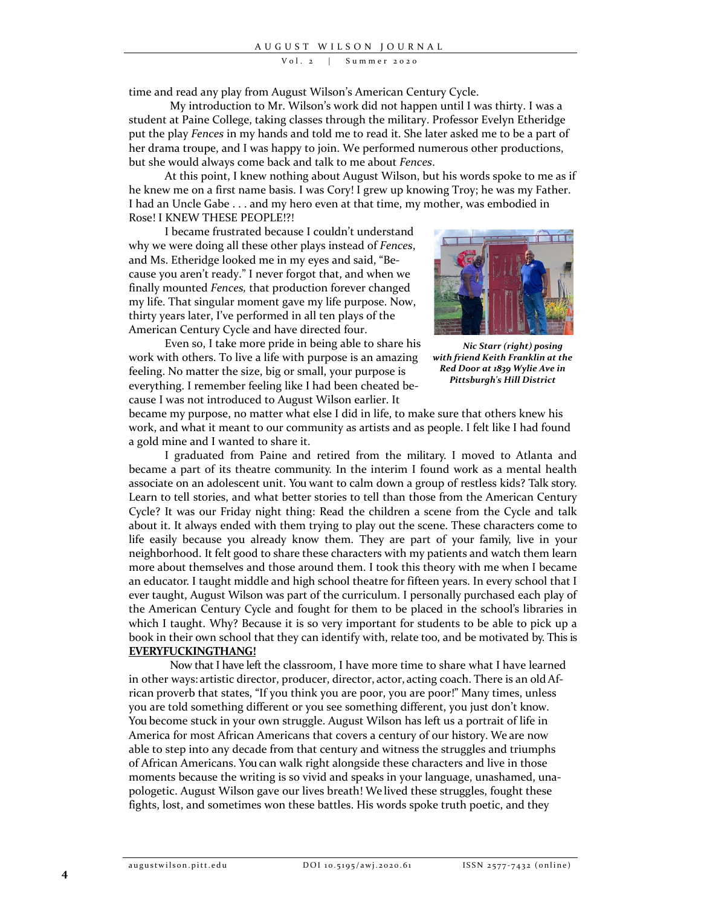Vol. 2 | Summer 2020

time and read any play from August Wilson's American Century Cycle.

My introduction to Mr. Wilson's work did not happen until I was thirty. I was a student at Paine College, taking classes through the military. Professor Evelyn Etheridge put the play *Fences* in my hands and told me to read it. She later asked me to be a part of her drama troupe, and I was happy to join. We performed numerous other productions, but she would always come back and talk to me about *Fences*.

At this point, I knew nothing about August Wilson, but his words spoke to me as if he knew me on a first name basis. I was Cory! I grew up knowing Troy; he was my Father. I had an Uncle Gabe . . . and my hero even at that time, my mother, was embodied in Rose! I KNEW THESE PEOPLE!?!

I became frustrated because I couldn't understand why we were doing all these other plays instead of *Fences*, and Ms. Etheridge looked me in my eyes and said, "Be‐ cause you aren't ready." I never forgot that, and when we finally mounted *Fences,* that production forever changed my life. That singular moment gave my life purpose. Now, thirty years later, I've performed in all ten plays of the American Century Cycle and have directed four.

Even so, I take more pride in being able to share his work with others. To live a life with purpose is an amazing feeling. No matter the size, big or small, your purpose is everything. I remember feeling like I had been cheated be‐ cause I was not introduced to August Wilson earlier. It



*Nic Starr (right) posing with friend Keith Franklin at the Red Door at 1839 Wylie Ave in Pittsburgh's Hill District*

became my purpose, no matter what else I did in life, to make sure that others knew his work, and what it meant to our community as artists and as people. I felt like I had found a gold mine and I wanted to share it.

I graduated from Paine and retired from the military. I moved to Atlanta and became a part of its theatre community. In the interim I found work as a mental health associate on an adolescent unit. You want to calm down a group of restless kids? Talk story. Learn to tell stories, and what better stories to tell than those from the American Century Cycle? It was our Friday night thing: Read the children a scene from the Cycle and talk about it. It always ended with them trying to play out the scene. These characters come to life easily because you already know them. They are part of your family, live in your neighborhood. It felt good to share these characters with my patients and watch them learn more about themselves and those around them. I took this theory with me when I became an educator. I taught middle and high school theatre for fifteen years. In every school that I ever taught, August Wilson was part of the curriculum. I personally purchased each play of the American Century Cycle and fought for them to be placed in the school's libraries in which I taught. Why? Because it is so very important for students to be able to pick up a book in their own school that they can identify with, relate too, and be motivated by. This is **EVERYFUCKINGTHANG!**

Now that I have left the classroom, I have more time to share what I have learned in other ways: artistic director, producer, director, actor, acting coach. There is an old African proverb that states, "If you think you are poor, you are poor!" Many times, unless you are told something different or you see something different, you just don't know. You become stuck in your own struggle. August Wilson has left us a portrait of life in America for most African Americans that covers a century of our history. We are now able to step into any decade from that century and witness the struggles and triumphs of African Americans. You can walk right alongside these characters and live in those moments because the writing is so vivid and speaks in your language, unashamed, unapologetic. August Wilson gave our lives breath! We lived these struggles, fought these fights, lost, and sometimes won these battles. His words spoke truth poetic, and they